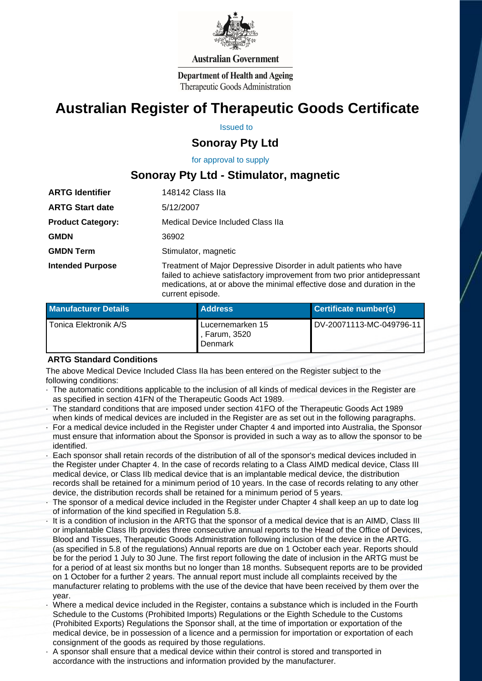

#### **Australian Government**

**Department of Health and Ageing** Therapeutic Goods Administration

# **Australian Register of Therapeutic Goods Certificate**

Issued to

## **Sonoray Pty Ltd**

 for approval to supply

# **Sonoray Pty Ltd - Stimulator, magnetic**

| <b>ARTG Identifier</b>   | 148142 Class IIa                                                                                                                              |
|--------------------------|-----------------------------------------------------------------------------------------------------------------------------------------------|
| <b>ARTG Start date</b>   | 5/12/2007                                                                                                                                     |
| <b>Product Category:</b> | Medical Device Included Class IIa                                                                                                             |
| <b>GMDN</b>              | 36902                                                                                                                                         |
| <b>GMDN Term</b>         | Stimulator, magnetic                                                                                                                          |
| <b>Intended Purpose</b>  | Treatment of Major Depressive Disorder in adult patients who have<br>failed to achieve satisfactory improvement from two prior antidepressant |

medications, at or above the minimal effective dose and duration in the current episode. **Manufacturer Details <b>Address Certificate number(s)** Tonica Elektronik A/S Lucernemarken 15 , Farum, 3520 DV-20071113-MC-049796-11

#### **ARTG Standard Conditions**

 The above Medical Device Included Class IIa has been entered on the Register subject to the following conditions:

Denmark

- The automatic conditions applicable to the inclusion of all kinds of medical devices in the Register are as specified in section 41FN of the Therapeutic Goods Act 1989.
- · The standard conditions that are imposed under section 41FO of the Therapeutic Goods Act 1989 when kinds of medical devices are included in the Register are as set out in the following paragraphs.
- For a medical device included in the Register under Chapter 4 and imported into Australia, the Sponsor must ensure that information about the Sponsor is provided in such a way as to allow the sponsor to be identified.
- Each sponsor shall retain records of the distribution of all of the sponsor's medical devices included in the Register under Chapter 4. In the case of records relating to a Class AIMD medical device, Class III medical device, or Class IIb medical device that is an implantable medical device, the distribution records shall be retained for a minimum period of 10 years. In the case of records relating to any other device, the distribution records shall be retained for a minimum period of 5 years.
- The sponsor of a medical device included in the Register under Chapter 4 shall keep an up to date log of information of the kind specified in Regulation 5.8.
- It is a condition of inclusion in the ARTG that the sponsor of a medical device that is an AIMD, Class III or implantable Class IIb provides three consecutive annual reports to the Head of the Office of Devices, Blood and Tissues, Therapeutic Goods Administration following inclusion of the device in the ARTG. (as specified in 5.8 of the regulations) Annual reports are due on 1 October each year. Reports should be for the period 1 July to 30 June. The first report following the date of inclusion in the ARTG must be for a period of at least six months but no longer than 18 months. Subsequent reports are to be provided on 1 October for a further 2 years. The annual report must include all complaints received by the manufacturer relating to problems with the use of the device that have been received by them over the year.
- · Where a medical device included in the Register, contains a substance which is included in the Fourth Schedule to the Customs (Prohibited Imports) Regulations or the Eighth Schedule to the Customs (Prohibited Exports) Regulations the Sponsor shall, at the time of importation or exportation of the medical device, be in possession of a licence and a permission for importation or exportation of each consignment of the goods as required by those regulations.
- · A sponsor shall ensure that a medical device within their control is stored and transported in accordance with the instructions and information provided by the manufacturer.